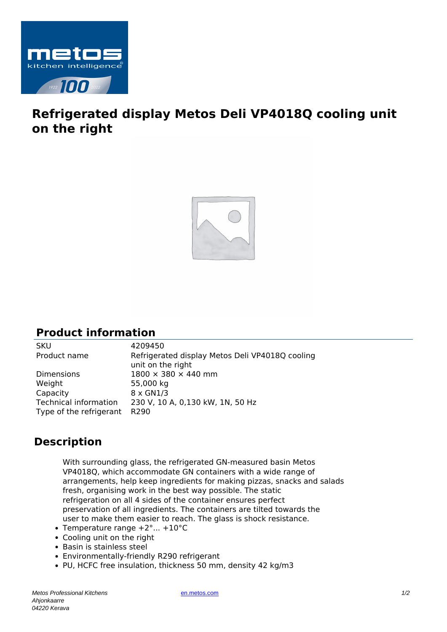

## **Refrigerated display Metos Deli VP4018Q cooling unit on the right**



## **Product information**

SKU 4209450<br>Product name Refrigera Refrigerated display Metos Deli VP4018Q cooling unit on the right Dimensions  $1800 \times 380 \times 440$  mm Weight 55,000 kg Capacity 8 x GN1/3 Technical information 230 V, 10 A, 0,130 kW, 1N, 50 Hz Type of the refrigerant R290

## **Description**

With surrounding glass, the refrigerated GN-measured basin Metos VP4018Q, which accommodate GN containers with a wide range of arrangements, help keep ingredients for making pizzas, snacks and salads fresh, organising work in the best way possible. The static refrigeration on all 4 sides of the container ensures perfect preservation of all ingredients. The containers are tilted towards the user to make them easier to reach. The glass is shock resistance.

- Temperature range  $+2^{\circ}$ ...  $+10^{\circ}$ C
- Cooling unit on the right
- Basin is stainless steel
- Environmentally-friendly R290 refrigerant
- PU, HCFC free insulation, thickness 50 mm, density 42 kg/m3